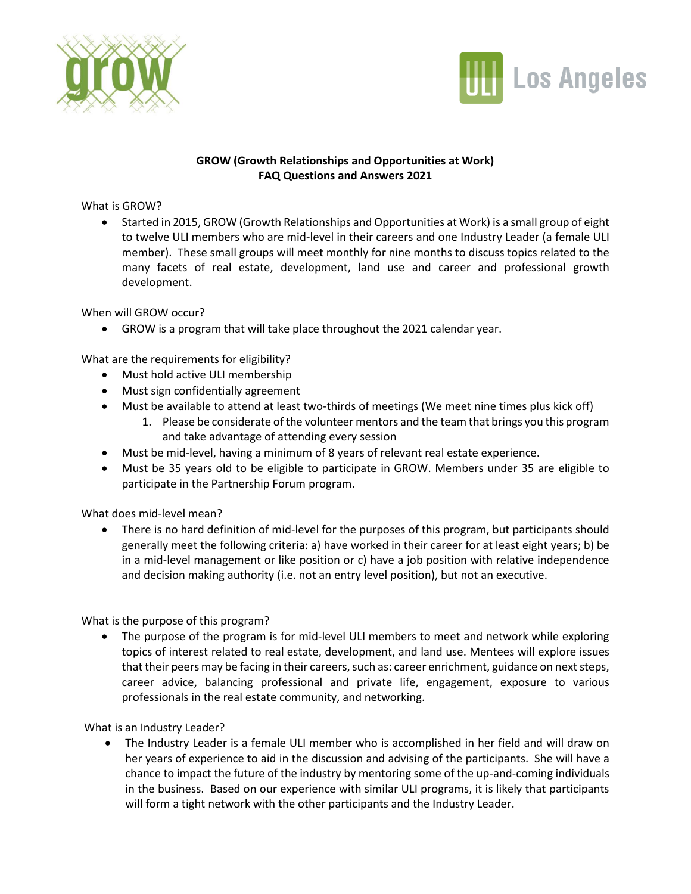



## **GROW (Growth Relationships and Opportunities at Work) FAQ Questions and Answers 2021**

## What is GROW?

• Started in 2015, GROW (Growth Relationships and Opportunities at Work) is a small group of eight to twelve ULI members who are mid-level in their careers and one Industry Leader (a female ULI member). These small groups will meet monthly for nine months to discuss topics related to the many facets of real estate, development, land use and career and professional growth development.

When will GROW occur?

• GROW is a program that will take place throughout the 2021 calendar year.

What are the requirements for eligibility?

- Must hold active ULI membership
- Must sign confidentially agreement
- Must be available to attend at least two-thirds of meetings (We meet nine times plus kick off)
	- 1. Please be considerate of the volunteer mentors and the team that brings you this program and take advantage of attending every session
- Must be mid-level, having a minimum of 8 years of relevant real estate experience.
- Must be 35 years old to be eligible to participate in GROW. Members under 35 are eligible to participate in the Partnership Forum program.

What does mid-level mean?

• There is no hard definition of mid-level for the purposes of this program, but participants should generally meet the following criteria: a) have worked in their career for at least eight years; b) be in a mid-level management or like position or c) have a job position with relative independence and decision making authority (i.e. not an entry level position), but not an executive.

What is the purpose of this program?

• The purpose of the program is for mid-level ULI members to meet and network while exploring topics of interest related to real estate, development, and land use. Mentees will explore issues that their peers may be facing in their careers, such as: career enrichment, guidance on next steps, career advice, balancing professional and private life, engagement, exposure to various professionals in the real estate community, and networking.

What is an Industry Leader?

• The Industry Leader is a female ULI member who is accomplished in her field and will draw on her years of experience to aid in the discussion and advising of the participants. She will have a chance to impact the future of the industry by mentoring some of the up-and-coming individuals in the business. Based on our experience with similar ULI programs, it is likely that participants will form a tight network with the other participants and the Industry Leader.